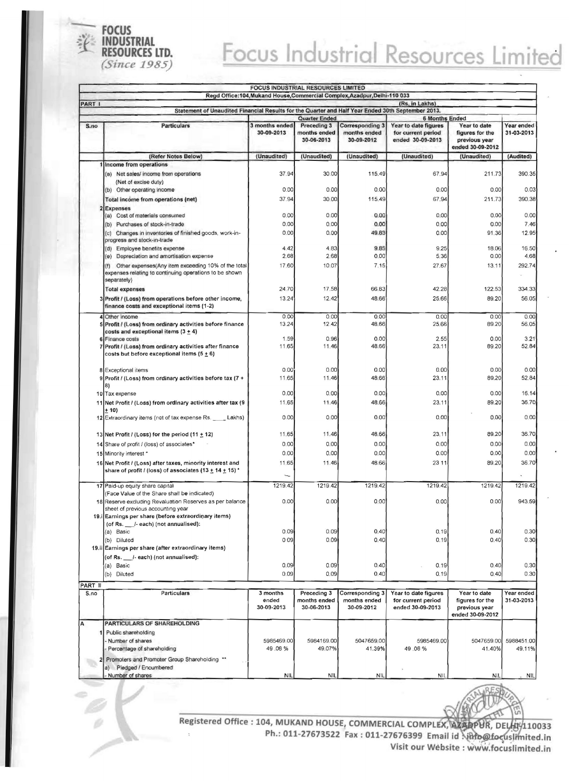

## Focus Industrial Resources Limited

|               |                                                                                                                                                                                                      | <b>FOCUS INDUSTRIAL RESOURCES LIMITED</b> |                                                                   | Regd Office:104, Mukand House, Commercial Complex, Azadpur, Delhi-110 033 |                                                                                         |                                                                      |                          |
|---------------|------------------------------------------------------------------------------------------------------------------------------------------------------------------------------------------------------|-------------------------------------------|-------------------------------------------------------------------|---------------------------------------------------------------------------|-----------------------------------------------------------------------------------------|----------------------------------------------------------------------|--------------------------|
| <b>PART I</b> |                                                                                                                                                                                                      |                                           |                                                                   |                                                                           | (Rs. in Lakhs)                                                                          |                                                                      |                          |
|               | Statement of Unaudited Financial Results for the Quarter and Half Year Ended 30th September 2013.                                                                                                    |                                           |                                                                   |                                                                           |                                                                                         |                                                                      |                          |
| S.no          | <b>Particulars</b>                                                                                                                                                                                   | 3 months ended<br>30-09-2013              | <b>Quarter Ended</b><br>Preceding 3<br>months ended<br>30-06-2013 | <b>Corresponding 3</b><br>months ended<br>30-09-2012                      | <b>6 Months Ended</b><br>Year to date figures<br>for current period<br>ended 30-09-2013 | Year to date<br>figures for the<br>previous year<br>ended 30-09-2012 | Year ended<br>31-03-2013 |
|               | (Refer Notes Below)                                                                                                                                                                                  | (Unaudited)                               | (Unaudited)                                                       | (Unaudited)                                                               | (Unaudited)                                                                             | (Unaudited)                                                          | (Audited)                |
|               | Income from operations<br>(a) Net sales/ income from operations<br>(Net of excise duty)<br>(b) Other operating income                                                                                | 37.94<br>0.00                             | 30.00<br>0.00                                                     | 115.49<br>0.00                                                            | 67.94<br>0.00                                                                           | 211.73<br>0.00                                                       | 390.35<br>0.03           |
|               | Total income from operations (net)                                                                                                                                                                   | 37.94                                     | 30.00                                                             | 115.49                                                                    | 67.94                                                                                   | 211.73                                                               | 390.38                   |
|               | <b>Expenses</b><br>(a) Cost of materials consumed                                                                                                                                                    | 0.00                                      | 0.00                                                              | 0.00                                                                      | 0.00                                                                                    | 0.00                                                                 | 0.00                     |
|               | (b) Purchases of stock-in-trade                                                                                                                                                                      | 0.00                                      | 0.00                                                              | 0.00                                                                      | 0.00                                                                                    | 0.00                                                                 | 7.46                     |
|               | (c) Changes in inventories of finished goods, work-in-<br>progress and stock-in-trade                                                                                                                | 0.00                                      | 0.00                                                              | 49.83                                                                     | 0.00                                                                                    | 91.36                                                                | 12.95                    |
|               | (d) Employee benefits expense                                                                                                                                                                        | 4.42                                      | 4.83                                                              | 9.85                                                                      | 9.25                                                                                    | 18.06                                                                | 16.50                    |
|               | Depreciation and amortisation expense<br>(e)<br>Other expenses(Any item exceeding 10% of the total<br>(f)<br>expenses relating to continuing operations to be shown                                  | 2.68<br>17.60                             | 2.68<br>10.07                                                     | 0.00<br>7.15                                                              | 5.36<br>27.67                                                                           | 0.00<br>13.11                                                        | 4.68<br>292.74           |
|               | separately)                                                                                                                                                                                          |                                           |                                                                   |                                                                           |                                                                                         |                                                                      |                          |
|               | <b>Total expenses</b><br>3 Profit / (Loss) from operations before other income,<br>finance costs and exceptional items (1-2)                                                                         | 24.70<br>13.24                            | 17.58<br>12.42                                                    | 66.83<br>48.66                                                            | 42.28<br>25.66                                                                          | 122.53<br>89.20                                                      | 334.33<br>56.05          |
|               | 4 Other income<br>5 Profit / (Loss) from ordinary activities before finance<br>costs and exceptional items $(3 + 4)$                                                                                 | 0.00<br>13.24                             | 0.00<br>12.42                                                     | 0.00<br>48.66                                                             | 0.00<br>25.66                                                                           | 0.00<br>89.20                                                        | 0.00<br>56.05            |
|               | 6 Finance costs<br>7 Profit / (Loss) from ordinary activities after finance<br>costs but before exceptional items $(5 \pm 6)$                                                                        | 1.59<br>11.65                             | 0.96<br>11.46                                                     | 0.00<br>48.66                                                             | 2.55<br>23.11                                                                           | 0.00<br>89.20                                                        | 3.21<br>52.84            |
|               | 8 Exceptional items<br>9 Profit / (Loss) from ordinary activities before tax (7 +<br>8)                                                                                                              | 0.00<br>11.65                             | 0.00<br>11.46                                                     | 0.00<br>48.66                                                             | 0.00<br>23.11                                                                           | 0.00<br>89.20                                                        | 0.00<br>52.84            |
|               | 10 Tax expense<br>11 Net Profit / (Loss) from ordinary activities after tax (9                                                                                                                       | 0.00<br>11.65                             | 0.00<br>11.46                                                     | 0.00<br>48.66                                                             | 0.00<br>23.11                                                                           | 0.00<br>89.20                                                        | 16.14<br>36.70           |
|               | + 10)<br>12 Extraordinary items (net of tax expense Rs. _____ Lakhs)                                                                                                                                 | 0.00                                      | 0.00                                                              | 0.00                                                                      | 0.00                                                                                    | 0.00                                                                 | 0.00                     |
|               | 13 Net Profit / (Loss) for the period (11 $\pm$ 12)                                                                                                                                                  | 11.65                                     | 11.46                                                             | 48.66                                                                     | 23.11                                                                                   | 89.20                                                                | 36.70                    |
|               | 14 Share of profit / (loss) of associates*                                                                                                                                                           | 0.00                                      | 0.00                                                              | 0.00                                                                      | 0.00                                                                                    | 0.00                                                                 | 0.00                     |
|               | 15 Minority interest *                                                                                                                                                                               | 0.00                                      | 0.00                                                              | 0.00                                                                      | 0.00                                                                                    | 0.00                                                                 | 0.00                     |
|               | 16 Net Profit / (Loss) after taxes, minority interest and<br>share of profit / (loss) of associates (13 <u>+</u> 14 <u>+</u> 15) *                                                                   | 11.65                                     | 11.46                                                             | 48.66                                                                     | 23 11                                                                                   | 89.20                                                                | 36.70                    |
|               | 17 Paid-up equity share capital                                                                                                                                                                      | 1219.42                                   | 1219.42                                                           | 1219.42                                                                   | 1219.42                                                                                 | 1219.42                                                              | 1219.42                  |
|               | (Face Value of the Share shall be indicated)<br>18 Reserve excluding Revaluation Reserves as per balance<br>sheet of previous accounting year<br>19. Earnings per share (before extraordinary items) | 0.00                                      | 0.00                                                              | 0.00                                                                      | 0.00                                                                                    | 0.00                                                                 | 943.59                   |
|               | (of Rs. __ /- each) (not annualised):<br>(a) Basic                                                                                                                                                   | 0.09                                      | 0.09                                                              | 0.40                                                                      | 0.19                                                                                    | 0.40                                                                 | 0.30                     |
|               | (b) Diluted                                                                                                                                                                                          | 009                                       | 0.09                                                              | 0.40                                                                      | 0.19                                                                                    | 0.40                                                                 | 0.30                     |
|               | 19.ii Earnings per share (after extraordinary items)<br>(of Rs. /- each) (not annualised):                                                                                                           |                                           |                                                                   |                                                                           |                                                                                         |                                                                      |                          |
|               | (a) Basic<br>(b) Diluted                                                                                                                                                                             | 0.09<br>0.09                              | 0.09<br>0.09                                                      | 0.40<br>0.40                                                              | 0.19<br>0.19                                                                            | 0.40<br>0.40                                                         | 0.30<br>0.30             |
| PART II       |                                                                                                                                                                                                      |                                           |                                                                   |                                                                           |                                                                                         |                                                                      |                          |
| S.no          | Particulars                                                                                                                                                                                          | 3 months<br>ended<br>30-09-2013           | Preceding 3<br>months ended<br>30-06-2013                         | Corresponding 3<br>months ended<br>30-09-2012                             | Year to date figures<br>for current period<br>ended 30-09-2013                          | Year to date<br>figures for the<br>previous year<br>ended 30-09-2012 | Year ended<br>31-03-2013 |
| A             | PARTICULARS OF SHAREHOLDING                                                                                                                                                                          |                                           |                                                                   |                                                                           |                                                                                         |                                                                      |                          |
|               | Public shareholding<br>Number of shares                                                                                                                                                              | 5985469.00                                | 5984169.00                                                        | 5047659.00                                                                | 5985469.00                                                                              | 5047659.00                                                           | 5988451.00               |
|               | Percentage of shareholding                                                                                                                                                                           | 49.08%                                    | 49.07%                                                            | 41.39%                                                                    | 49.08%                                                                                  | 41.40%                                                               | 49.11%                   |
|               | Promoters and Promoter Group Shareholding **<br>a) Pledged / Encumbered                                                                                                                              |                                           |                                                                   |                                                                           |                                                                                         |                                                                      |                          |
|               | - Number of shares                                                                                                                                                                                   | <b>NIL</b>                                | NIL                                                               | NIL                                                                       | <b>NIL</b>                                                                              | <b>NIL</b>                                                           | NIL                      |

Registered Office : 104, MUKAND HOUSE, COMMERCIAL COMPLEX, AZAPPUR, DELHIV110033 Visit our Website : www.focuslimited.in